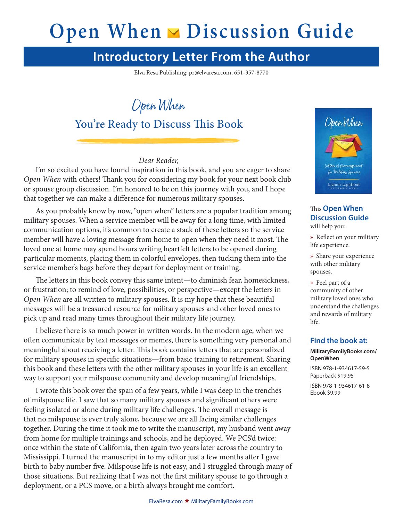# **Open When ► Discussion Guide**

# **Introductory Letter From the Author**

Elva Resa Publishing: pr@elvaresa.com, 651-357-8770

Open When

#### You're Ready to Discuss This Book

*Dear Reader,*

I'm so excited you have found inspiration in this book, and you are eager to share *Open When* with others! Thank you for considering my book for your next book club or spouse group discussion. I'm honored to be on this journey with you, and I hope that together we can make a difference for numerous military spouses.

As you probably know by now, "open when" letters are a popular tradition among military spouses. When a service member will be away for a long time, with limited communication options, it's common to create a stack of these letters so the service member will have a loving message from home to open when they need it most. The loved one at home may spend hours writing heartfelt letters to be opened during particular moments, placing them in colorful envelopes, then tucking them into the service member's bags before they depart for deployment or training.

The letters in this book convey this same intent—to diminish fear, homesickness, or frustration; to remind of love, possibilities, or perspective—except the letters in *Open When* are all written to military spouses. It is my hope that these beautiful messages will be a treasured resource for military spouses and other loved ones to pick up and read many times throughout their military life journey.

I believe there is so much power in written words. In the modern age, when we often communicate by text messages or memes, there is something very personal and meaningful about receiving a letter. This book contains letters that are personalized for military spouses in specific situations—from basic training to retirement. Sharing this book and these letters with the other military spouses in your life is an excellent way to support your milspouse community and develop meaningful friendships.

I wrote this book over the span of a few years, while I was deep in the trenches of milspouse life. I saw that so many military spouses and significant others were feeling isolated or alone during military life challenges. The overall message is that no milspouse is ever truly alone, because we are all facing similar challenges together. During the time it took me to write the manuscript, my husband went away from home for multiple trainings and schools, and he deployed. We PCS'd twice: once within the state of California, then again two years later across the country to Mississippi. I turned the manuscript in to my editor just a few months after I gave birth to baby number five. Milspouse life is not easy, and I struggled through many of those situations. But realizing that I was not the first military spouse to go through a deployment, or a PCS move, or a birth always brought me comfort.



#### This **Open When Discussion Guide** will help you:

» Reflect on your military life experience.

» Share your experience with other military spouses.

» Feel part of a community of other military loved ones who understand the challenges and rewards of military life.

#### **Find the book at:**

#### **MilitaryFamilyBooks.com/ OpenWhen**

ISBN 978-1-934617-59-5 Paperback \$19.95 ISBN 978-1-934617-61-8

Ebook \$9.99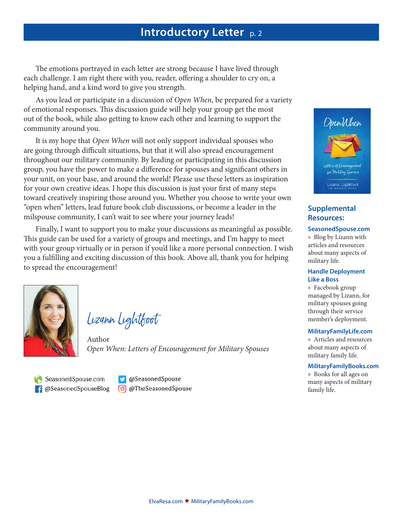#### **Introductory Letter** p. 2

The emotions portrayed in each letter are strong because I have lived through each challenge. I am right there with you, reader, offering a shoulder to cry on, a helping hand, and a kind word to give you strength.

As you lead or participate in a discussion of *Open When*, be prepared for a variety of emotional responses. This discussion guide will help your group get the most out of the book, while also getting to know each other and learning to support the community around you.

It is my hope that *Open When* will not only support individual spouses who are going through difficult situations, but that it will also spread encouragement throughout our military community. By leading or participating in this discussion group, you have the power to make a difference for spouses and significant others in your unit, on your base, and around the world! Please use these letters as inspiration for your own creative ideas. I hope this discussion is just your first of many steps toward creatively inspiring those around you. Whether you choose to write your own "open when" letters, lead future book club discussions, or become a leader in the milspouse community, I can't wait to see where your journey leads!

Finally, I want to support you to make your discussions as meaningful as possible. This guide can be used for a variety of groups and meetings, and I'm happy to meet with your group virtually or in person if you'd like a more personal connection. I wish you a fulfilling and exciting discussion of this book. Above all, thank you for helping to spread the encouragement!



Lizann Lightfoot

Author *Open When: Letters of Encouragement for Military Spouses*

SeasonedSpouse.com f @SeasonedSpouseBlog

@SeasonedSpouse C @TheSeasonedSpouse



#### **Supplemental Resources:**

#### **SeasonedSpouse.com**

» Blog by Lizann with articles and resources about many aspects of military life.

#### **Handle Deployment Like a Boss**

» Facebook group managed by Lizann, for military spouses going through their service member's deployment.

#### **MilitaryFamilyLife.com**

» Articles and resources about many aspects of military family life.

#### **MilitaryFamilyBooks.com**

» Books for all ages on many aspects of military family life.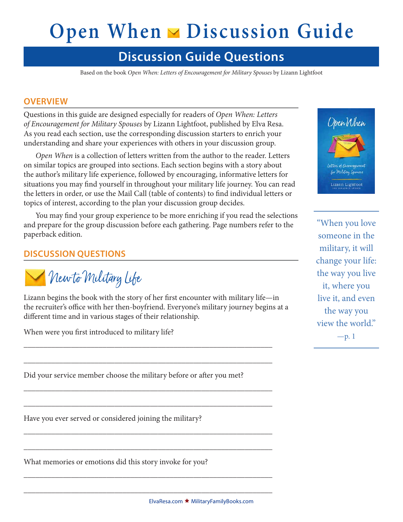# **Open When ► Discussion Guide**

### **Discussion Guide Questions**

Based on the book *Open When: Letters of Encouragement for Military Spouses* by Lizann Lightfoot

#### **OVERVIEW**

Questions in this guide are designed especially for readers of *Open When: Letters of Encouragement for Military Spouses* by Lizann Lightfoot, published by Elva Resa. As you read each section, use the corresponding discussion starters to enrich your understanding and share your experiences with others in your discussion group.

*Open When* is a collection of letters written from the author to the reader. Letters on similar topics are grouped into sections. Each section begins with a story about the author's military life experience, followed by encouraging, informative letters for situations you may find yourself in throughout your military life journey. You can read the letters in order, or use the Mail Call (table of contents) to find individual letters or topics of interest, according to the plan your discussion group decides.

You may find your group experience to be more enriching if you read the selections and prepare for the group discussion before each gathering. Page numbers refer to the paperback edition.

#### **DISCUSSION QUESTIONS**

Rew to Military Life

Lizann begins the book with the story of her first encounter with military life—in the recruiter's office with her then-boyfriend. Everyone's military journey begins at a different time and in various stages of their relationship.

\_\_\_\_\_\_\_\_\_\_\_\_\_\_\_\_\_\_\_\_\_\_\_\_\_\_\_\_\_\_\_\_\_\_\_\_\_\_\_\_\_\_\_\_\_\_\_\_\_\_\_\_\_\_\_\_\_\_\_\_\_\_\_

\_\_\_\_\_\_\_\_\_\_\_\_\_\_\_\_\_\_\_\_\_\_\_\_\_\_\_\_\_\_\_\_\_\_\_\_\_\_\_\_\_\_\_\_\_\_\_\_\_\_\_\_\_\_\_\_\_\_\_\_\_\_\_

\_\_\_\_\_\_\_\_\_\_\_\_\_\_\_\_\_\_\_\_\_\_\_\_\_\_\_\_\_\_\_\_\_\_\_\_\_\_\_\_\_\_\_\_\_\_\_\_\_\_\_\_\_\_\_\_\_\_\_\_\_\_\_

\_\_\_\_\_\_\_\_\_\_\_\_\_\_\_\_\_\_\_\_\_\_\_\_\_\_\_\_\_\_\_\_\_\_\_\_\_\_\_\_\_\_\_\_\_\_\_\_\_\_\_\_\_\_\_\_\_\_\_\_\_\_\_

\_\_\_\_\_\_\_\_\_\_\_\_\_\_\_\_\_\_\_\_\_\_\_\_\_\_\_\_\_\_\_\_\_\_\_\_\_\_\_\_\_\_\_\_\_\_\_\_\_\_\_\_\_\_\_\_\_\_\_\_\_\_\_

\_\_\_\_\_\_\_\_\_\_\_\_\_\_\_\_\_\_\_\_\_\_\_\_\_\_\_\_\_\_\_\_\_\_\_\_\_\_\_\_\_\_\_\_\_\_\_\_\_\_\_\_\_\_\_\_\_\_\_\_\_\_\_

\_\_\_\_\_\_\_\_\_\_\_\_\_\_\_\_\_\_\_\_\_\_\_\_\_\_\_\_\_\_\_\_\_\_\_\_\_\_\_\_\_\_\_\_\_\_\_\_\_\_\_\_\_\_\_\_\_\_\_\_\_\_\_

\_\_\_\_\_\_\_\_\_\_\_\_\_\_\_\_\_\_\_\_\_\_\_\_\_\_\_\_\_\_\_\_\_\_\_\_\_\_\_\_\_\_\_\_\_\_\_\_\_\_\_\_\_\_\_\_\_\_\_\_\_\_\_

When were you first introduced to military life?

Did your service member choose the military before or after you met?

Have you ever served or considered joining the military?

What memories or emotions did this story invoke for you?



"When you love someone in the military, it will change your life: the way you live it, where you live it, and even the way you view the world."  $-p.1$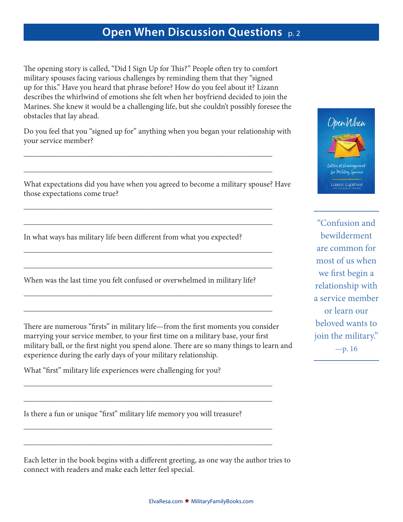The opening story is called, "Did I Sign Up for This?" People often try to comfort military spouses facing various challenges by reminding them that they "signed up for this." Have you heard that phrase before? How do you feel about it? Lizann describes the whirlwind of emotions she felt when her boyfriend decided to join the Marines. She knew it would be a challenging life, but she couldn't possibly foresee the obstacles that lay ahead.

Do you feel that you "signed up for" anything when you began your relationship with your service member?

\_\_\_\_\_\_\_\_\_\_\_\_\_\_\_\_\_\_\_\_\_\_\_\_\_\_\_\_\_\_\_\_\_\_\_\_\_\_\_\_\_\_\_\_\_\_\_\_\_\_\_\_\_\_\_\_\_\_\_\_\_\_\_

\_\_\_\_\_\_\_\_\_\_\_\_\_\_\_\_\_\_\_\_\_\_\_\_\_\_\_\_\_\_\_\_\_\_\_\_\_\_\_\_\_\_\_\_\_\_\_\_\_\_\_\_\_\_\_\_\_\_\_\_\_\_\_

\_\_\_\_\_\_\_\_\_\_\_\_\_\_\_\_\_\_\_\_\_\_\_\_\_\_\_\_\_\_\_\_\_\_\_\_\_\_\_\_\_\_\_\_\_\_\_\_\_\_\_\_\_\_\_\_\_\_\_\_\_\_\_

\_\_\_\_\_\_\_\_\_\_\_\_\_\_\_\_\_\_\_\_\_\_\_\_\_\_\_\_\_\_\_\_\_\_\_\_\_\_\_\_\_\_\_\_\_\_\_\_\_\_\_\_\_\_\_\_\_\_\_\_\_\_\_

\_\_\_\_\_\_\_\_\_\_\_\_\_\_\_\_\_\_\_\_\_\_\_\_\_\_\_\_\_\_\_\_\_\_\_\_\_\_\_\_\_\_\_\_\_\_\_\_\_\_\_\_\_\_\_\_\_\_\_\_\_\_\_

\_\_\_\_\_\_\_\_\_\_\_\_\_\_\_\_\_\_\_\_\_\_\_\_\_\_\_\_\_\_\_\_\_\_\_\_\_\_\_\_\_\_\_\_\_\_\_\_\_\_\_\_\_\_\_\_\_\_\_\_\_\_\_

\_\_\_\_\_\_\_\_\_\_\_\_\_\_\_\_\_\_\_\_\_\_\_\_\_\_\_\_\_\_\_\_\_\_\_\_\_\_\_\_\_\_\_\_\_\_\_\_\_\_\_\_\_\_\_\_\_\_\_\_\_\_\_

\_\_\_\_\_\_\_\_\_\_\_\_\_\_\_\_\_\_\_\_\_\_\_\_\_\_\_\_\_\_\_\_\_\_\_\_\_\_\_\_\_\_\_\_\_\_\_\_\_\_\_\_\_\_\_\_\_\_\_\_\_\_\_

\_\_\_\_\_\_\_\_\_\_\_\_\_\_\_\_\_\_\_\_\_\_\_\_\_\_\_\_\_\_\_\_\_\_\_\_\_\_\_\_\_\_\_\_\_\_\_\_\_\_\_\_\_\_\_\_\_\_\_\_\_\_\_

\_\_\_\_\_\_\_\_\_\_\_\_\_\_\_\_\_\_\_\_\_\_\_\_\_\_\_\_\_\_\_\_\_\_\_\_\_\_\_\_\_\_\_\_\_\_\_\_\_\_\_\_\_\_\_\_\_\_\_\_\_\_\_

\_\_\_\_\_\_\_\_\_\_\_\_\_\_\_\_\_\_\_\_\_\_\_\_\_\_\_\_\_\_\_\_\_\_\_\_\_\_\_\_\_\_\_\_\_\_\_\_\_\_\_\_\_\_\_\_\_\_\_\_\_\_\_

\_\_\_\_\_\_\_\_\_\_\_\_\_\_\_\_\_\_\_\_\_\_\_\_\_\_\_\_\_\_\_\_\_\_\_\_\_\_\_\_\_\_\_\_\_\_\_\_\_\_\_\_\_\_\_\_\_\_\_\_\_\_\_

What expectations did you have when you agreed to become a military spouse? Have those expectations come true?

In what ways has military life been different from what you expected?

When was the last time you felt confused or overwhelmed in military life?

There are numerous "firsts" in military life—from the first moments you consider marrying your service member, to your first time on a military base, your first military ball, or the first night you spend alone. There are so many things to learn and experience during the early days of your military relationship.

What "first" military life experiences were challenging for you?

Is there a fun or unique "first" military life memory you will treasure?

Each letter in the book begins with a different greeting, as one way the author tries to connect with readers and make each letter feel special.



"Confusion and bewilderment are common for most of us when we first begin a relationship with a service member or learn our beloved wants to join the military."  $-p. 16$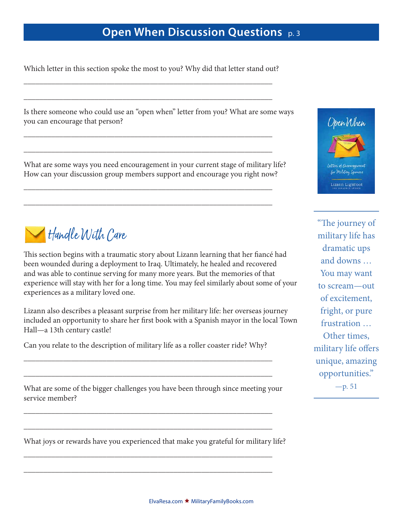Which letter in this section spoke the most to you? Why did that letter stand out?

\_\_\_\_\_\_\_\_\_\_\_\_\_\_\_\_\_\_\_\_\_\_\_\_\_\_\_\_\_\_\_\_\_\_\_\_\_\_\_\_\_\_\_\_\_\_\_\_\_\_\_\_\_\_\_\_\_\_\_\_\_\_\_

\_\_\_\_\_\_\_\_\_\_\_\_\_\_\_\_\_\_\_\_\_\_\_\_\_\_\_\_\_\_\_\_\_\_\_\_\_\_\_\_\_\_\_\_\_\_\_\_\_\_\_\_\_\_\_\_\_\_\_\_\_\_\_

\_\_\_\_\_\_\_\_\_\_\_\_\_\_\_\_\_\_\_\_\_\_\_\_\_\_\_\_\_\_\_\_\_\_\_\_\_\_\_\_\_\_\_\_\_\_\_\_\_\_\_\_\_\_\_\_\_\_\_\_\_\_\_

\_\_\_\_\_\_\_\_\_\_\_\_\_\_\_\_\_\_\_\_\_\_\_\_\_\_\_\_\_\_\_\_\_\_\_\_\_\_\_\_\_\_\_\_\_\_\_\_\_\_\_\_\_\_\_\_\_\_\_\_\_\_\_

\_\_\_\_\_\_\_\_\_\_\_\_\_\_\_\_\_\_\_\_\_\_\_\_\_\_\_\_\_\_\_\_\_\_\_\_\_\_\_\_\_\_\_\_\_\_\_\_\_\_\_\_\_\_\_\_\_\_\_\_\_\_\_

\_\_\_\_\_\_\_\_\_\_\_\_\_\_\_\_\_\_\_\_\_\_\_\_\_\_\_\_\_\_\_\_\_\_\_\_\_\_\_\_\_\_\_\_\_\_\_\_\_\_\_\_\_\_\_\_\_\_\_\_\_\_\_

Is there someone who could use an "open when" letter from you? What are some ways you can encourage that person?

What are some ways you need encouragement in your current stage of military life? How can your discussion group members support and encourage you right now?



This section begins with a traumatic story about Lizann learning that her fiancé had been wounded during a deployment to Iraq. Ultimately, he healed and recovered and was able to continue serving for many more years. But the memories of that experience will stay with her for a long time. You may feel similarly about some of your experiences as a military loved one.

Lizann also describes a pleasant surprise from her military life: her overseas journey included an opportunity to share her first book with a Spanish mayor in the local Town Hall—a 13th century castle!

Can you relate to the description of military life as a roller coaster ride? Why?

\_\_\_\_\_\_\_\_\_\_\_\_\_\_\_\_\_\_\_\_\_\_\_\_\_\_\_\_\_\_\_\_\_\_\_\_\_\_\_\_\_\_\_\_\_\_\_\_\_\_\_\_\_\_\_\_\_\_\_\_\_\_\_

\_\_\_\_\_\_\_\_\_\_\_\_\_\_\_\_\_\_\_\_\_\_\_\_\_\_\_\_\_\_\_\_\_\_\_\_\_\_\_\_\_\_\_\_\_\_\_\_\_\_\_\_\_\_\_\_\_\_\_\_\_\_\_

What are some of the bigger challenges you have been through since meeting your service member?

\_\_\_\_\_\_\_\_\_\_\_\_\_\_\_\_\_\_\_\_\_\_\_\_\_\_\_\_\_\_\_\_\_\_\_\_\_\_\_\_\_\_\_\_\_\_\_\_\_\_\_\_\_\_\_\_\_\_\_\_\_\_\_

\_\_\_\_\_\_\_\_\_\_\_\_\_\_\_\_\_\_\_\_\_\_\_\_\_\_\_\_\_\_\_\_\_\_\_\_\_\_\_\_\_\_\_\_\_\_\_\_\_\_\_\_\_\_\_\_\_\_\_\_\_\_\_

\_\_\_\_\_\_\_\_\_\_\_\_\_\_\_\_\_\_\_\_\_\_\_\_\_\_\_\_\_\_\_\_\_\_\_\_\_\_\_\_\_\_\_\_\_\_\_\_\_\_\_\_\_\_\_\_\_\_\_\_\_\_\_

\_\_\_\_\_\_\_\_\_\_\_\_\_\_\_\_\_\_\_\_\_\_\_\_\_\_\_\_\_\_\_\_\_\_\_\_\_\_\_\_\_\_\_\_\_\_\_\_\_\_\_\_\_\_\_\_\_\_\_\_\_\_\_

What joys or rewards have you experienced that make you grateful for military life?



"The journey of military life has dramatic ups and downs … You may want to scream—out of excitement, fright, or pure frustration … Other times, military life offers unique, amazing opportunities."  $-p. 51$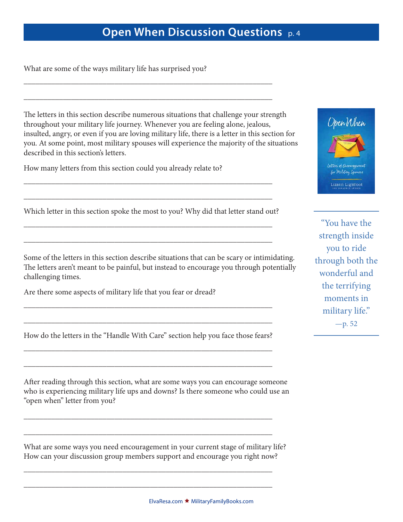What are some of the ways military life has surprised you?

The letters in this section describe numerous situations that challenge your strength throughout your military life journey. Whenever you are feeling alone, jealous, insulted, angry, or even if you are loving military life, there is a letter in this section for you. At some point, most military spouses will experience the majority of the situations described in this section's letters.

\_\_\_\_\_\_\_\_\_\_\_\_\_\_\_\_\_\_\_\_\_\_\_\_\_\_\_\_\_\_\_\_\_\_\_\_\_\_\_\_\_\_\_\_\_\_\_\_\_\_\_\_\_\_\_\_\_\_\_\_\_\_\_

\_\_\_\_\_\_\_\_\_\_\_\_\_\_\_\_\_\_\_\_\_\_\_\_\_\_\_\_\_\_\_\_\_\_\_\_\_\_\_\_\_\_\_\_\_\_\_\_\_\_\_\_\_\_\_\_\_\_\_\_\_\_\_

How many letters from this section could you already relate to?

Which letter in this section spoke the most to you? Why did that letter stand out?

\_\_\_\_\_\_\_\_\_\_\_\_\_\_\_\_\_\_\_\_\_\_\_\_\_\_\_\_\_\_\_\_\_\_\_\_\_\_\_\_\_\_\_\_\_\_\_\_\_\_\_\_\_\_\_\_\_\_\_\_\_\_\_

\_\_\_\_\_\_\_\_\_\_\_\_\_\_\_\_\_\_\_\_\_\_\_\_\_\_\_\_\_\_\_\_\_\_\_\_\_\_\_\_\_\_\_\_\_\_\_\_\_\_\_\_\_\_\_\_\_\_\_\_\_\_\_

\_\_\_\_\_\_\_\_\_\_\_\_\_\_\_\_\_\_\_\_\_\_\_\_\_\_\_\_\_\_\_\_\_\_\_\_\_\_\_\_\_\_\_\_\_\_\_\_\_\_\_\_\_\_\_\_\_\_\_\_\_\_\_

\_\_\_\_\_\_\_\_\_\_\_\_\_\_\_\_\_\_\_\_\_\_\_\_\_\_\_\_\_\_\_\_\_\_\_\_\_\_\_\_\_\_\_\_\_\_\_\_\_\_\_\_\_\_\_\_\_\_\_\_\_\_\_

Some of the letters in this section describe situations that can be scary or intimidating. The letters aren't meant to be painful, but instead to encourage you through potentially challenging times.

Are there some aspects of military life that you fear or dread?

How do the letters in the "Handle With Care" section help you face those fears? \_\_\_\_\_\_\_\_\_\_\_\_\_\_\_\_\_\_\_\_\_\_\_\_\_\_\_\_\_\_\_\_\_\_\_\_\_\_\_\_\_\_\_\_\_\_\_\_\_\_\_\_\_\_\_\_\_\_\_\_\_\_\_

\_\_\_\_\_\_\_\_\_\_\_\_\_\_\_\_\_\_\_\_\_\_\_\_\_\_\_\_\_\_\_\_\_\_\_\_\_\_\_\_\_\_\_\_\_\_\_\_\_\_\_\_\_\_\_\_\_\_\_\_\_\_\_

\_\_\_\_\_\_\_\_\_\_\_\_\_\_\_\_\_\_\_\_\_\_\_\_\_\_\_\_\_\_\_\_\_\_\_\_\_\_\_\_\_\_\_\_\_\_\_\_\_\_\_\_\_\_\_\_\_\_\_\_\_\_\_

\_\_\_\_\_\_\_\_\_\_\_\_\_\_\_\_\_\_\_\_\_\_\_\_\_\_\_\_\_\_\_\_\_\_\_\_\_\_\_\_\_\_\_\_\_\_\_\_\_\_\_\_\_\_\_\_\_\_\_\_\_\_\_

\_\_\_\_\_\_\_\_\_\_\_\_\_\_\_\_\_\_\_\_\_\_\_\_\_\_\_\_\_\_\_\_\_\_\_\_\_\_\_\_\_\_\_\_\_\_\_\_\_\_\_\_\_\_\_\_\_\_\_\_\_\_\_

\_\_\_\_\_\_\_\_\_\_\_\_\_\_\_\_\_\_\_\_\_\_\_\_\_\_\_\_\_\_\_\_\_\_\_\_\_\_\_\_\_\_\_\_\_\_\_\_\_\_\_\_\_\_\_\_\_\_\_\_\_\_\_

\_\_\_\_\_\_\_\_\_\_\_\_\_\_\_\_\_\_\_\_\_\_\_\_\_\_\_\_\_\_\_\_\_\_\_\_\_\_\_\_\_\_\_\_\_\_\_\_\_\_\_\_\_\_\_\_\_\_\_\_\_\_\_

\_\_\_\_\_\_\_\_\_\_\_\_\_\_\_\_\_\_\_\_\_\_\_\_\_\_\_\_\_\_\_\_\_\_\_\_\_\_\_\_\_\_\_\_\_\_\_\_\_\_\_\_\_\_\_\_\_\_\_\_\_\_\_

After reading through this section, what are some ways you can encourage someone who is experiencing military life ups and downs? Is there someone who could use an "open when" letter from you?

What are some ways you need encouragement in your current stage of military life? How can your discussion group members support and encourage you right now?



"You have the strength inside you to ride through both the wonderful and the terrifying moments in military life." —p. 52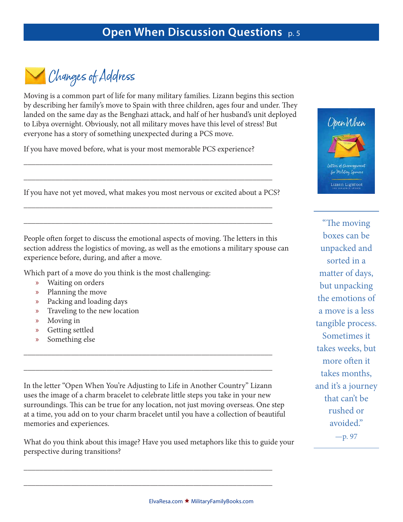Changes of Address

Moving is a common part of life for many military families. Lizann begins this section by describing her family's move to Spain with three children, ages four and under. They landed on the same day as the Benghazi attack, and half of her husband's unit deployed to Libya overnight. Obviously, not all military moves have this level of stress! But everyone has a story of something unexpected during a PCS move.

If you have moved before, what is your most memorable PCS experience?

If you have not yet moved, what makes you most nervous or excited about a PCS?

\_\_\_\_\_\_\_\_\_\_\_\_\_\_\_\_\_\_\_\_\_\_\_\_\_\_\_\_\_\_\_\_\_\_\_\_\_\_\_\_\_\_\_\_\_\_\_\_\_\_\_\_\_\_\_\_\_\_\_\_\_\_\_

\_\_\_\_\_\_\_\_\_\_\_\_\_\_\_\_\_\_\_\_\_\_\_\_\_\_\_\_\_\_\_\_\_\_\_\_\_\_\_\_\_\_\_\_\_\_\_\_\_\_\_\_\_\_\_\_\_\_\_\_\_\_\_

\_\_\_\_\_\_\_\_\_\_\_\_\_\_\_\_\_\_\_\_\_\_\_\_\_\_\_\_\_\_\_\_\_\_\_\_\_\_\_\_\_\_\_\_\_\_\_\_\_\_\_\_\_\_\_\_\_\_\_\_\_\_\_

\_\_\_\_\_\_\_\_\_\_\_\_\_\_\_\_\_\_\_\_\_\_\_\_\_\_\_\_\_\_\_\_\_\_\_\_\_\_\_\_\_\_\_\_\_\_\_\_\_\_\_\_\_\_\_\_\_\_\_\_\_\_\_

People often forget to discuss the emotional aspects of moving. The letters in this section address the logistics of moving, as well as the emotions a military spouse can experience before, during, and after a move.

Which part of a move do you think is the most challenging:

- » Waiting on orders
- » Planning the move
- » Packing and loading days
- » Traveling to the new location
- » Moving in
- » Getting settled
- » Something else

In the letter "Open When You're Adjusting to Life in Another Country" Lizann uses the image of a charm bracelet to celebrate little steps you take in your new surroundings. This can be true for any location, not just moving overseas. One step at a time, you add on to your charm bracelet until you have a collection of beautiful memories and experiences.

\_\_\_\_\_\_\_\_\_\_\_\_\_\_\_\_\_\_\_\_\_\_\_\_\_\_\_\_\_\_\_\_\_\_\_\_\_\_\_\_\_\_\_\_\_\_\_\_\_\_\_\_\_\_\_\_\_\_\_\_\_\_\_

\_\_\_\_\_\_\_\_\_\_\_\_\_\_\_\_\_\_\_\_\_\_\_\_\_\_\_\_\_\_\_\_\_\_\_\_\_\_\_\_\_\_\_\_\_\_\_\_\_\_\_\_\_\_\_\_\_\_\_\_\_\_\_

What do you think about this image? Have you used metaphors like this to guide your perspective during transitions?

\_\_\_\_\_\_\_\_\_\_\_\_\_\_\_\_\_\_\_\_\_\_\_\_\_\_\_\_\_\_\_\_\_\_\_\_\_\_\_\_\_\_\_\_\_\_\_\_\_\_\_\_\_\_\_\_\_\_\_\_\_\_\_

\_\_\_\_\_\_\_\_\_\_\_\_\_\_\_\_\_\_\_\_\_\_\_\_\_\_\_\_\_\_\_\_\_\_\_\_\_\_\_\_\_\_\_\_\_\_\_\_\_\_\_\_\_\_\_\_\_\_\_\_\_\_\_



"The moving boxes can be unpacked and sorted in a matter of days, but unpacking the emotions of a move is a less tangible process. Sometimes it takes weeks, but more often it takes months, and it's a journey that can't be rushed or avoided."

—p. 97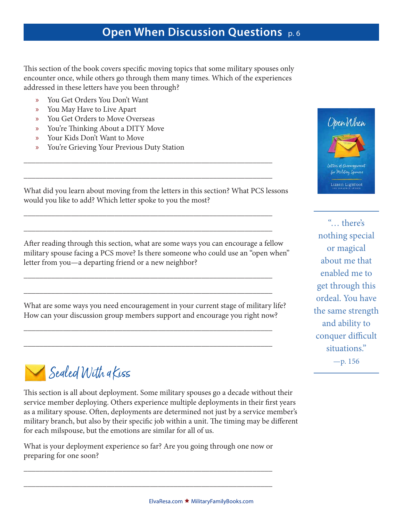This section of the book covers specific moving topics that some military spouses only encounter once, while others go through them many times. Which of the experiences addressed in these letters have you been through?

- » You Get Orders You Don't Want
- » You May Have to Live Apart
- » You Get Orders to Move Overseas
- » You're Thinking About a DITY Move
- » Your Kids Don't Want to Move
- » You're Grieving Your Previous Duty Station



What did you learn about moving from the letters in this section? What PCS lessons would you like to add? Which letter spoke to you the most?

\_\_\_\_\_\_\_\_\_\_\_\_\_\_\_\_\_\_\_\_\_\_\_\_\_\_\_\_\_\_\_\_\_\_\_\_\_\_\_\_\_\_\_\_\_\_\_\_\_\_\_\_\_\_\_\_\_\_\_\_\_\_\_

\_\_\_\_\_\_\_\_\_\_\_\_\_\_\_\_\_\_\_\_\_\_\_\_\_\_\_\_\_\_\_\_\_\_\_\_\_\_\_\_\_\_\_\_\_\_\_\_\_\_\_\_\_\_\_\_\_\_\_\_\_\_\_

\_\_\_\_\_\_\_\_\_\_\_\_\_\_\_\_\_\_\_\_\_\_\_\_\_\_\_\_\_\_\_\_\_\_\_\_\_\_\_\_\_\_\_\_\_\_\_\_\_\_\_\_\_\_\_\_\_\_\_\_\_\_\_

\_\_\_\_\_\_\_\_\_\_\_\_\_\_\_\_\_\_\_\_\_\_\_\_\_\_\_\_\_\_\_\_\_\_\_\_\_\_\_\_\_\_\_\_\_\_\_\_\_\_\_\_\_\_\_\_\_\_\_\_\_\_\_

\_\_\_\_\_\_\_\_\_\_\_\_\_\_\_\_\_\_\_\_\_\_\_\_\_\_\_\_\_\_\_\_\_\_\_\_\_\_\_\_\_\_\_\_\_\_\_\_\_\_\_\_\_\_\_\_\_\_\_\_\_\_\_

\_\_\_\_\_\_\_\_\_\_\_\_\_\_\_\_\_\_\_\_\_\_\_\_\_\_\_\_\_\_\_\_\_\_\_\_\_\_\_\_\_\_\_\_\_\_\_\_\_\_\_\_\_\_\_\_\_\_\_\_\_\_\_

\_\_\_\_\_\_\_\_\_\_\_\_\_\_\_\_\_\_\_\_\_\_\_\_\_\_\_\_\_\_\_\_\_\_\_\_\_\_\_\_\_\_\_\_\_\_\_\_\_\_\_\_\_\_\_\_\_\_\_\_\_\_\_

\_\_\_\_\_\_\_\_\_\_\_\_\_\_\_\_\_\_\_\_\_\_\_\_\_\_\_\_\_\_\_\_\_\_\_\_\_\_\_\_\_\_\_\_\_\_\_\_\_\_\_\_\_\_\_\_\_\_\_\_\_\_\_

After reading through this section, what are some ways you can encourage a fellow military spouse facing a PCS move? Is there someone who could use an "open when" letter from you—a departing friend or a new neighbor?

What are some ways you need encouragement in your current stage of military life? How can your discussion group members support and encourage you right now?

Sealed With a Kiss

This section is all about deployment. Some military spouses go a decade without their service member deploying. Others experience multiple deployments in their first years as a military spouse. Often, deployments are determined not just by a service member's military branch, but also by their specific job within a unit. The timing may be different for each milspouse, but the emotions are similar for all of us.

What is your deployment experience so far? Are you going through one now or preparing for one soon?

\_\_\_\_\_\_\_\_\_\_\_\_\_\_\_\_\_\_\_\_\_\_\_\_\_\_\_\_\_\_\_\_\_\_\_\_\_\_\_\_\_\_\_\_\_\_\_\_\_\_\_\_\_\_\_\_\_\_\_\_\_\_\_

\_\_\_\_\_\_\_\_\_\_\_\_\_\_\_\_\_\_\_\_\_\_\_\_\_\_\_\_\_\_\_\_\_\_\_\_\_\_\_\_\_\_\_\_\_\_\_\_\_\_\_\_\_\_\_\_\_\_\_\_\_\_\_

"… there's nothing special or magical about me that enabled me to get through this ordeal. You have the same strength and ability to conquer difficult situations."  $-p. 156$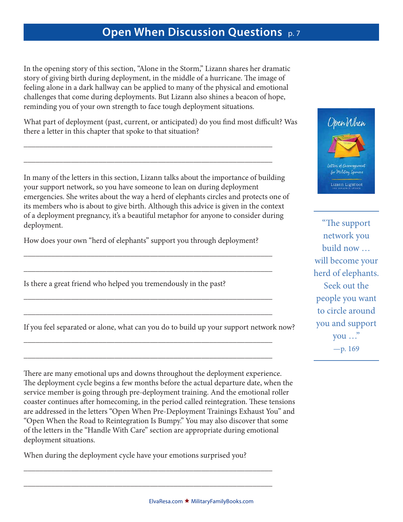In the opening story of this section, "Alone in the Storm," Lizann shares her dramatic story of giving birth during deployment, in the middle of a hurricane. The image of feeling alone in a dark hallway can be applied to many of the physical and emotional challenges that come during deployments. But Lizann also shines a beacon of hope, reminding you of your own strength to face tough deployment situations.

What part of deployment (past, current, or anticipated) do you find most difficult? Was there a letter in this chapter that spoke to that situation?

\_\_\_\_\_\_\_\_\_\_\_\_\_\_\_\_\_\_\_\_\_\_\_\_\_\_\_\_\_\_\_\_\_\_\_\_\_\_\_\_\_\_\_\_\_\_\_\_\_\_\_\_\_\_\_\_\_\_\_\_\_\_\_

\_\_\_\_\_\_\_\_\_\_\_\_\_\_\_\_\_\_\_\_\_\_\_\_\_\_\_\_\_\_\_\_\_\_\_\_\_\_\_\_\_\_\_\_\_\_\_\_\_\_\_\_\_\_\_\_\_\_\_\_\_\_\_

In many of the letters in this section, Lizann talks about the importance of building your support network, so you have someone to lean on during deployment emergencies. She writes about the way a herd of elephants circles and protects one of its members who is about to give birth. Although this advice is given in the context of a deployment pregnancy, it's a beautiful metaphor for anyone to consider during deployment.

How does your own "herd of elephants" support you through deployment?

\_\_\_\_\_\_\_\_\_\_\_\_\_\_\_\_\_\_\_\_\_\_\_\_\_\_\_\_\_\_\_\_\_\_\_\_\_\_\_\_\_\_\_\_\_\_\_\_\_\_\_\_\_\_\_\_\_\_\_\_\_\_\_

\_\_\_\_\_\_\_\_\_\_\_\_\_\_\_\_\_\_\_\_\_\_\_\_\_\_\_\_\_\_\_\_\_\_\_\_\_\_\_\_\_\_\_\_\_\_\_\_\_\_\_\_\_\_\_\_\_\_\_\_\_\_\_

\_\_\_\_\_\_\_\_\_\_\_\_\_\_\_\_\_\_\_\_\_\_\_\_\_\_\_\_\_\_\_\_\_\_\_\_\_\_\_\_\_\_\_\_\_\_\_\_\_\_\_\_\_\_\_\_\_\_\_\_\_\_\_

\_\_\_\_\_\_\_\_\_\_\_\_\_\_\_\_\_\_\_\_\_\_\_\_\_\_\_\_\_\_\_\_\_\_\_\_\_\_\_\_\_\_\_\_\_\_\_\_\_\_\_\_\_\_\_\_\_\_\_\_\_\_\_

\_\_\_\_\_\_\_\_\_\_\_\_\_\_\_\_\_\_\_\_\_\_\_\_\_\_\_\_\_\_\_\_\_\_\_\_\_\_\_\_\_\_\_\_\_\_\_\_\_\_\_\_\_\_\_\_\_\_\_\_\_\_\_

\_\_\_\_\_\_\_\_\_\_\_\_\_\_\_\_\_\_\_\_\_\_\_\_\_\_\_\_\_\_\_\_\_\_\_\_\_\_\_\_\_\_\_\_\_\_\_\_\_\_\_\_\_\_\_\_\_\_\_\_\_\_\_

Is there a great friend who helped you tremendously in the past?

If you feel separated or alone, what can you do to build up your support network now?

There are many emotional ups and downs throughout the deployment experience. The deployment cycle begins a few months before the actual departure date, when the service member is going through pre-deployment training. And the emotional roller coaster continues after homecoming, in the period called reintegration. These tensions are addressed in the letters "Open When Pre-Deployment Trainings Exhaust You" and "Open When the Road to Reintegration Is Bumpy." You may also discover that some of the letters in the "Handle With Care" section are appropriate during emotional deployment situations.

When during the deployment cycle have your emotions surprised you?

\_\_\_\_\_\_\_\_\_\_\_\_\_\_\_\_\_\_\_\_\_\_\_\_\_\_\_\_\_\_\_\_\_\_\_\_\_\_\_\_\_\_\_\_\_\_\_\_\_\_\_\_\_\_\_\_\_\_\_\_\_\_\_

\_\_\_\_\_\_\_\_\_\_\_\_\_\_\_\_\_\_\_\_\_\_\_\_\_\_\_\_\_\_\_\_\_\_\_\_\_\_\_\_\_\_\_\_\_\_\_\_\_\_\_\_\_\_\_\_\_\_\_\_\_\_\_



"The support network you build now … will become your herd of elephants. Seek out the people you want to circle around you and support you …" —p. 169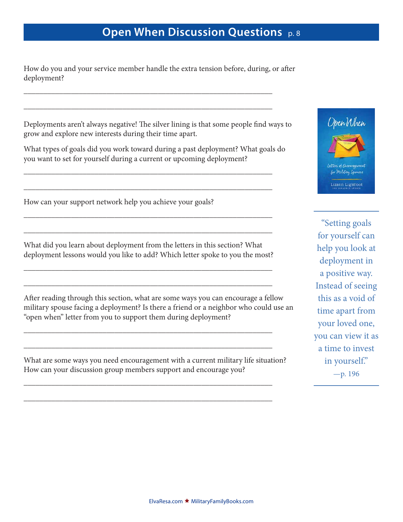How do you and your service member handle the extra tension before, during, or after deployment?

\_\_\_\_\_\_\_\_\_\_\_\_\_\_\_\_\_\_\_\_\_\_\_\_\_\_\_\_\_\_\_\_\_\_\_\_\_\_\_\_\_\_\_\_\_\_\_\_\_\_\_\_\_\_\_\_\_\_\_\_\_\_\_

\_\_\_\_\_\_\_\_\_\_\_\_\_\_\_\_\_\_\_\_\_\_\_\_\_\_\_\_\_\_\_\_\_\_\_\_\_\_\_\_\_\_\_\_\_\_\_\_\_\_\_\_\_\_\_\_\_\_\_\_\_\_\_

Deployments aren't always negative! The silver lining is that some people find ways to grow and explore new interests during their time apart.

What types of goals did you work toward during a past deployment? What goals do you want to set for yourself during a current or upcoming deployment?

\_\_\_\_\_\_\_\_\_\_\_\_\_\_\_\_\_\_\_\_\_\_\_\_\_\_\_\_\_\_\_\_\_\_\_\_\_\_\_\_\_\_\_\_\_\_\_\_\_\_\_\_\_\_\_\_\_\_\_\_\_\_\_

\_\_\_\_\_\_\_\_\_\_\_\_\_\_\_\_\_\_\_\_\_\_\_\_\_\_\_\_\_\_\_\_\_\_\_\_\_\_\_\_\_\_\_\_\_\_\_\_\_\_\_\_\_\_\_\_\_\_\_\_\_\_\_

\_\_\_\_\_\_\_\_\_\_\_\_\_\_\_\_\_\_\_\_\_\_\_\_\_\_\_\_\_\_\_\_\_\_\_\_\_\_\_\_\_\_\_\_\_\_\_\_\_\_\_\_\_\_\_\_\_\_\_\_\_\_\_

\_\_\_\_\_\_\_\_\_\_\_\_\_\_\_\_\_\_\_\_\_\_\_\_\_\_\_\_\_\_\_\_\_\_\_\_\_\_\_\_\_\_\_\_\_\_\_\_\_\_\_\_\_\_\_\_\_\_\_\_\_\_\_

How can your support network help you achieve your goals?

What did you learn about deployment from the letters in this section? What deployment lessons would you like to add? Which letter spoke to you the most?

\_\_\_\_\_\_\_\_\_\_\_\_\_\_\_\_\_\_\_\_\_\_\_\_\_\_\_\_\_\_\_\_\_\_\_\_\_\_\_\_\_\_\_\_\_\_\_\_\_\_\_\_\_\_\_\_\_\_\_\_\_\_\_

\_\_\_\_\_\_\_\_\_\_\_\_\_\_\_\_\_\_\_\_\_\_\_\_\_\_\_\_\_\_\_\_\_\_\_\_\_\_\_\_\_\_\_\_\_\_\_\_\_\_\_\_\_\_\_\_\_\_\_\_\_\_\_

\_\_\_\_\_\_\_\_\_\_\_\_\_\_\_\_\_\_\_\_\_\_\_\_\_\_\_\_\_\_\_\_\_\_\_\_\_\_\_\_\_\_\_\_\_\_\_\_\_\_\_\_\_\_\_\_\_\_\_\_\_\_\_

\_\_\_\_\_\_\_\_\_\_\_\_\_\_\_\_\_\_\_\_\_\_\_\_\_\_\_\_\_\_\_\_\_\_\_\_\_\_\_\_\_\_\_\_\_\_\_\_\_\_\_\_\_\_\_\_\_\_\_\_\_\_\_

\_\_\_\_\_\_\_\_\_\_\_\_\_\_\_\_\_\_\_\_\_\_\_\_\_\_\_\_\_\_\_\_\_\_\_\_\_\_\_\_\_\_\_\_\_\_\_\_\_\_\_\_\_\_\_\_\_\_\_\_\_\_\_

\_\_\_\_\_\_\_\_\_\_\_\_\_\_\_\_\_\_\_\_\_\_\_\_\_\_\_\_\_\_\_\_\_\_\_\_\_\_\_\_\_\_\_\_\_\_\_\_\_\_\_\_\_\_\_\_\_\_\_\_\_\_\_

After reading through this section, what are some ways you can encourage a fellow military spouse facing a deployment? Is there a friend or a neighbor who could use an "open when" letter from you to support them during deployment?

What are some ways you need encouragement with a current military life situation? How can your discussion group members support and encourage you?



"Setting goals for yourself can help you look at deployment in a positive way. Instead of seeing this as a void of time apart from your loved one, you can view it as a time to invest in yourself." —p. 196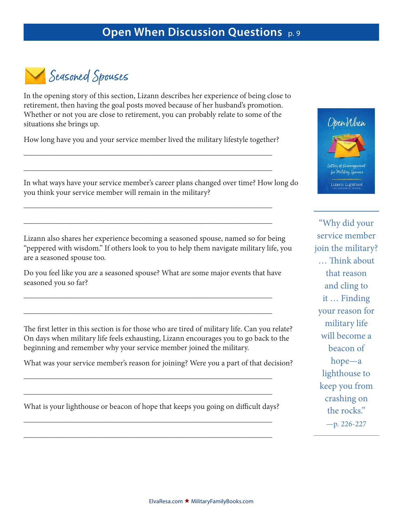

In the opening story of this section, Lizann describes her experience of being close to retirement, then having the goal posts moved because of her husband's promotion. Whether or not you are close to retirement, you can probably relate to some of the situations she brings up.

How long have you and your service member lived the military lifestyle together?

\_\_\_\_\_\_\_\_\_\_\_\_\_\_\_\_\_\_\_\_\_\_\_\_\_\_\_\_\_\_\_\_\_\_\_\_\_\_\_\_\_\_\_\_\_\_\_\_\_\_\_\_\_\_\_\_\_\_\_\_\_\_\_

\_\_\_\_\_\_\_\_\_\_\_\_\_\_\_\_\_\_\_\_\_\_\_\_\_\_\_\_\_\_\_\_\_\_\_\_\_\_\_\_\_\_\_\_\_\_\_\_\_\_\_\_\_\_\_\_\_\_\_\_\_\_\_

\_\_\_\_\_\_\_\_\_\_\_\_\_\_\_\_\_\_\_\_\_\_\_\_\_\_\_\_\_\_\_\_\_\_\_\_\_\_\_\_\_\_\_\_\_\_\_\_\_\_\_\_\_\_\_\_\_\_\_\_\_\_\_

\_\_\_\_\_\_\_\_\_\_\_\_\_\_\_\_\_\_\_\_\_\_\_\_\_\_\_\_\_\_\_\_\_\_\_\_\_\_\_\_\_\_\_\_\_\_\_\_\_\_\_\_\_\_\_\_\_\_\_\_\_\_\_



"Why did your service member join the military? … Think about that reason and cling to it … Finding your reason for military life will become a beacon of hope—a lighthouse to keep you from crashing on the rocks." —p. 226-227

In what ways have your service member's career plans changed over time? How long do you think your service member will remain in the military?

Lizann also shares her experience becoming a seasoned spouse, named so for being "peppered with wisdom." If others look to you to help them navigate military life, you are a seasoned spouse too.

Do you feel like you are a seasoned spouse? What are some major events that have seasoned you so far?

\_\_\_\_\_\_\_\_\_\_\_\_\_\_\_\_\_\_\_\_\_\_\_\_\_\_\_\_\_\_\_\_\_\_\_\_\_\_\_\_\_\_\_\_\_\_\_\_\_\_\_\_\_\_\_\_\_\_\_\_\_\_\_

\_\_\_\_\_\_\_\_\_\_\_\_\_\_\_\_\_\_\_\_\_\_\_\_\_\_\_\_\_\_\_\_\_\_\_\_\_\_\_\_\_\_\_\_\_\_\_\_\_\_\_\_\_\_\_\_\_\_\_\_\_\_\_

The first letter in this section is for those who are tired of military life. Can you relate? On days when military life feels exhausting, Lizann encourages you to go back to the beginning and remember why your service member joined the military.

What was your service member's reason for joining? Were you a part of that decision?

What is your lighthouse or beacon of hope that keeps you going on difficult days?

\_\_\_\_\_\_\_\_\_\_\_\_\_\_\_\_\_\_\_\_\_\_\_\_\_\_\_\_\_\_\_\_\_\_\_\_\_\_\_\_\_\_\_\_\_\_\_\_\_\_\_\_\_\_\_\_\_\_\_\_\_\_\_

\_\_\_\_\_\_\_\_\_\_\_\_\_\_\_\_\_\_\_\_\_\_\_\_\_\_\_\_\_\_\_\_\_\_\_\_\_\_\_\_\_\_\_\_\_\_\_\_\_\_\_\_\_\_\_\_\_\_\_\_\_\_\_

\_\_\_\_\_\_\_\_\_\_\_\_\_\_\_\_\_\_\_\_\_\_\_\_\_\_\_\_\_\_\_\_\_\_\_\_\_\_\_\_\_\_\_\_\_\_\_\_\_\_\_\_\_\_\_\_\_\_\_\_\_\_\_

\_\_\_\_\_\_\_\_\_\_\_\_\_\_\_\_\_\_\_\_\_\_\_\_\_\_\_\_\_\_\_\_\_\_\_\_\_\_\_\_\_\_\_\_\_\_\_\_\_\_\_\_\_\_\_\_\_\_\_\_\_\_\_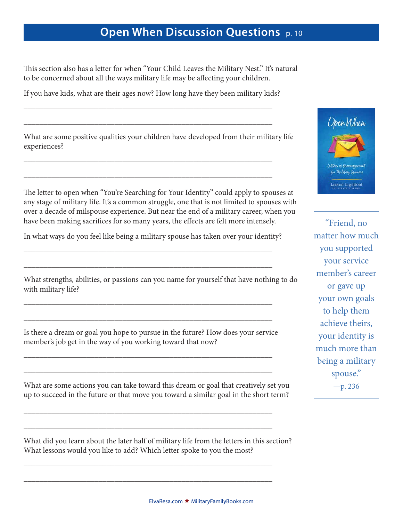This section also has a letter for when "Your Child Leaves the Military Nest." It's natural to be concerned about all the ways military life may be affecting your children.

If you have kids, what are their ages now? How long have they been military kids?

\_\_\_\_\_\_\_\_\_\_\_\_\_\_\_\_\_\_\_\_\_\_\_\_\_\_\_\_\_\_\_\_\_\_\_\_\_\_\_\_\_\_\_\_\_\_\_\_\_\_\_\_\_\_\_\_\_\_\_\_\_\_\_

\_\_\_\_\_\_\_\_\_\_\_\_\_\_\_\_\_\_\_\_\_\_\_\_\_\_\_\_\_\_\_\_\_\_\_\_\_\_\_\_\_\_\_\_\_\_\_\_\_\_\_\_\_\_\_\_\_\_\_\_\_\_\_

\_\_\_\_\_\_\_\_\_\_\_\_\_\_\_\_\_\_\_\_\_\_\_\_\_\_\_\_\_\_\_\_\_\_\_\_\_\_\_\_\_\_\_\_\_\_\_\_\_\_\_\_\_\_\_\_\_\_\_\_\_\_\_

\_\_\_\_\_\_\_\_\_\_\_\_\_\_\_\_\_\_\_\_\_\_\_\_\_\_\_\_\_\_\_\_\_\_\_\_\_\_\_\_\_\_\_\_\_\_\_\_\_\_\_\_\_\_\_\_\_\_\_\_\_\_\_

What are some positive qualities your children have developed from their military life experiences?

The letter to open when "You're Searching for Your Identity" could apply to spouses at any stage of military life. It's a common struggle, one that is not limited to spouses with over a decade of milspouse experience. But near the end of a military career, when you have been making sacrifices for so many years, the effects are felt more intensely.

In what ways do you feel like being a military spouse has taken over your identity?

\_\_\_\_\_\_\_\_\_\_\_\_\_\_\_\_\_\_\_\_\_\_\_\_\_\_\_\_\_\_\_\_\_\_\_\_\_\_\_\_\_\_\_\_\_\_\_\_\_\_\_\_\_\_\_\_\_\_\_\_\_\_\_

\_\_\_\_\_\_\_\_\_\_\_\_\_\_\_\_\_\_\_\_\_\_\_\_\_\_\_\_\_\_\_\_\_\_\_\_\_\_\_\_\_\_\_\_\_\_\_\_\_\_\_\_\_\_\_\_\_\_\_\_\_\_\_

\_\_\_\_\_\_\_\_\_\_\_\_\_\_\_\_\_\_\_\_\_\_\_\_\_\_\_\_\_\_\_\_\_\_\_\_\_\_\_\_\_\_\_\_\_\_\_\_\_\_\_\_\_\_\_\_\_\_\_\_\_\_\_

\_\_\_\_\_\_\_\_\_\_\_\_\_\_\_\_\_\_\_\_\_\_\_\_\_\_\_\_\_\_\_\_\_\_\_\_\_\_\_\_\_\_\_\_\_\_\_\_\_\_\_\_\_\_\_\_\_\_\_\_\_\_\_

What strengths, abilities, or passions can you name for yourself that have nothing to do with military life?

Is there a dream or goal you hope to pursue in the future? How does your service member's job get in the way of you working toward that now?

\_\_\_\_\_\_\_\_\_\_\_\_\_\_\_\_\_\_\_\_\_\_\_\_\_\_\_\_\_\_\_\_\_\_\_\_\_\_\_\_\_\_\_\_\_\_\_\_\_\_\_\_\_\_\_\_\_\_\_\_\_\_\_

\_\_\_\_\_\_\_\_\_\_\_\_\_\_\_\_\_\_\_\_\_\_\_\_\_\_\_\_\_\_\_\_\_\_\_\_\_\_\_\_\_\_\_\_\_\_\_\_\_\_\_\_\_\_\_\_\_\_\_\_\_\_\_

\_\_\_\_\_\_\_\_\_\_\_\_\_\_\_\_\_\_\_\_\_\_\_\_\_\_\_\_\_\_\_\_\_\_\_\_\_\_\_\_\_\_\_\_\_\_\_\_\_\_\_\_\_\_\_\_\_\_\_\_\_\_\_

\_\_\_\_\_\_\_\_\_\_\_\_\_\_\_\_\_\_\_\_\_\_\_\_\_\_\_\_\_\_\_\_\_\_\_\_\_\_\_\_\_\_\_\_\_\_\_\_\_\_\_\_\_\_\_\_\_\_\_\_\_\_\_

\_\_\_\_\_\_\_\_\_\_\_\_\_\_\_\_\_\_\_\_\_\_\_\_\_\_\_\_\_\_\_\_\_\_\_\_\_\_\_\_\_\_\_\_\_\_\_\_\_\_\_\_\_\_\_\_\_\_\_\_\_\_\_

\_\_\_\_\_\_\_\_\_\_\_\_\_\_\_\_\_\_\_\_\_\_\_\_\_\_\_\_\_\_\_\_\_\_\_\_\_\_\_\_\_\_\_\_\_\_\_\_\_\_\_\_\_\_\_\_\_\_\_\_\_\_\_

What are some actions you can take toward this dream or goal that creatively set you up to succeed in the future or that move you toward a similar goal in the short term?

What did you learn about the later half of military life from the letters in this section? What lessons would you like to add? Which letter spoke to you the most?



"Friend, no matter how much you supported your service member's career or gave up your own goals to help them achieve theirs, your identity is much more than being a military spouse." —p. 236